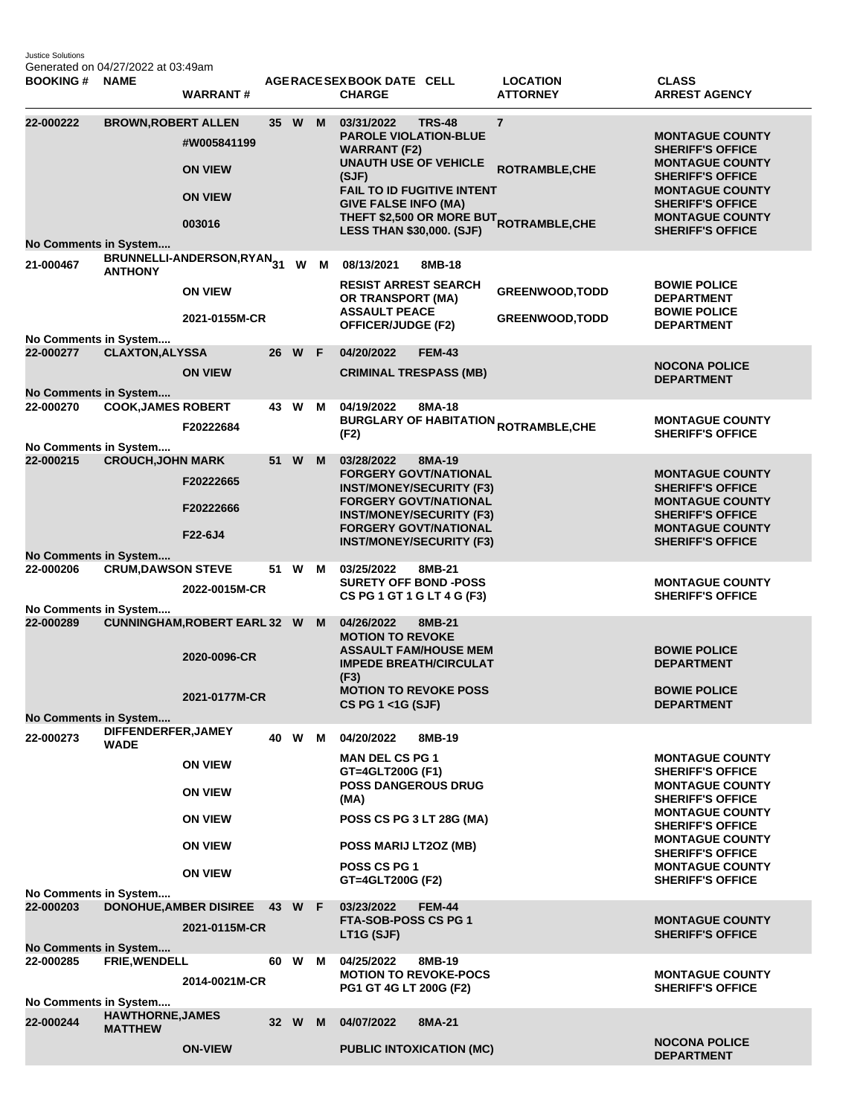Justice Solutions Generated on 04/27/2022 at 03:49am

| <b>BOOKING#</b>                           | <b>NAME</b>                | <b>WARRANT#</b>                                           |      |        |                          | AGERACE SEX BOOK DATE CELL<br><b>CHARGE</b>                                                                                                                                                                 |               | <b>LOCATION</b><br><b>ATTORNEY</b>                                           | <b>CLASS</b><br><b>ARREST AGENCY</b>                                                                                                                                                                             |
|-------------------------------------------|----------------------------|-----------------------------------------------------------|------|--------|--------------------------|-------------------------------------------------------------------------------------------------------------------------------------------------------------------------------------------------------------|---------------|------------------------------------------------------------------------------|------------------------------------------------------------------------------------------------------------------------------------------------------------------------------------------------------------------|
| 22-000222<br><b>No Comments in System</b> | <b>BROWN, ROBERT ALLEN</b> | #W005841199<br><b>ON VIEW</b><br><b>ON VIEW</b><br>003016 |      | 35 W   | M                        | 03/31/2022<br><b>PAROLE VIOLATION-BLUE</b><br><b>WARRANT (F2)</b><br><b>UNAUTH USE OF VEHICLE</b><br>(SJF)<br>FAIL TO ID FUGITIVE INTENT<br><b>GIVE FALSE INFO (MA)</b><br><b>LESS THAN \$30,000. (SJF)</b> | <b>TRS-48</b> | $\overline{7}$<br>ROTRAMBLE, CHE<br>THEFT \$2,500 OR MORE BUT ROTRAMBLE, CHE | <b>MONTAGUE COUNTY</b><br><b>SHERIFF'S OFFICE</b><br><b>MONTAGUE COUNTY</b><br><b>SHERIFF'S OFFICE</b><br><b>MONTAGUE COUNTY</b><br><b>SHERIFF'S OFFICE</b><br><b>MONTAGUE COUNTY</b><br><b>SHERIFF'S OFFICE</b> |
| 21-000467                                 |                            | BRUNNELLI-ANDERSON,RYAN <sub>31</sub>                     |      | W      | M                        | 08/13/2021                                                                                                                                                                                                  | 8MB-18        |                                                                              |                                                                                                                                                                                                                  |
| No Comments in System                     | <b>ANTHONY</b>             | <b>ON VIEW</b><br>2021-0155M-CR                           |      |        |                          | <b>RESIST ARREST SEARCH</b><br>OR TRANSPORT (MA)<br><b>ASSAULT PEACE</b><br><b>OFFICER/JUDGE (F2)</b>                                                                                                       |               | <b>GREENWOOD, TODD</b><br><b>GREENWOOD, TODD</b>                             | <b>BOWIE POLICE</b><br><b>DEPARTMENT</b><br><b>BOWIE POLICE</b><br><b>DEPARTMENT</b>                                                                                                                             |
| 22-000277                                 | <b>CLAXTON, ALYSSA</b>     |                                                           |      | 26 W F |                          | 04/20/2022                                                                                                                                                                                                  | <b>FEM-43</b> |                                                                              |                                                                                                                                                                                                                  |
| No Comments in System                     |                            | <b>ON VIEW</b>                                            |      |        |                          | <b>CRIMINAL TRESPASS (MB)</b>                                                                                                                                                                               |               |                                                                              | <b>NOCONA POLICE</b><br><b>DEPARTMENT</b>                                                                                                                                                                        |
| 22-000270                                 | <b>COOK, JAMES ROBERT</b>  |                                                           |      | 43 W M |                          | 04/19/2022                                                                                                                                                                                                  | 8MA-18        |                                                                              |                                                                                                                                                                                                                  |
| No Comments in System                     |                            | F20222684                                                 |      |        |                          | (F2)                                                                                                                                                                                                        |               | <b>BURGLARY OF HABITATION <sub>ROTRAMBLE,CHE</sub></b>                       | <b>MONTAGUE COUNTY</b><br><b>SHERIFF'S OFFICE</b>                                                                                                                                                                |
| 22-000215                                 | <b>CROUCH, JOHN MARK</b>   | F20222665                                                 | 51   | W      | M                        | 03/28/2022<br><b>FORGERY GOVT/NATIONAL</b><br><b>INST/MONEY/SECURITY (F3)</b><br><b>FORGERY GOVT/NATIONAL</b>                                                                                               | 8MA-19        |                                                                              | <b>MONTAGUE COUNTY</b><br><b>SHERIFF'S OFFICE</b><br><b>MONTAGUE COUNTY</b>                                                                                                                                      |
|                                           |                            | F20222666<br>F22-6J4                                      |      |        |                          | <b>INST/MONEY/SECURITY (F3)</b><br><b>FORGERY GOVT/NATIONAL</b><br><b>INST/MONEY/SECURITY (F3)</b>                                                                                                          |               |                                                                              | <b>SHERIFF'S OFFICE</b><br><b>MONTAGUE COUNTY</b><br><b>SHERIFF'S OFFICE</b>                                                                                                                                     |
| <b>No Comments in System</b>              |                            |                                                           |      |        |                          |                                                                                                                                                                                                             |               |                                                                              |                                                                                                                                                                                                                  |
| 22-000206                                 | <b>CRUM, DAWSON STEVE</b>  | 2022-0015M-CR                                             | 51 W |        | м                        | 03/25/2022<br><b>SURETY OFF BOND -POSS</b><br>CS PG 1 GT 1 G LT 4 G (F3)                                                                                                                                    | 8MB-21        |                                                                              | <b>MONTAGUE COUNTY</b><br><b>SHERIFF'S OFFICE</b>                                                                                                                                                                |
| No Comments in System<br>22-000289        |                            | <b>CUNNINGHAM, ROBERT EARL 32 W</b>                       |      |        | M                        | 04/26/2022<br><b>MOTION TO REVOKE</b><br><b>ASSAULT FAM/HOUSE MEM</b>                                                                                                                                       | 8MB-21        |                                                                              | <b>BOWIE POLICE</b>                                                                                                                                                                                              |
|                                           |                            | 2020-0096-CR<br>2021-0177M-CR                             |      |        |                          | <b>IMPEDE BREATH/CIRCULAT</b><br>(F3)<br><b>MOTION TO REVOKE POSS</b>                                                                                                                                       |               |                                                                              | <b>DEPARTMENT</b><br><b>BOWIE POLICE</b>                                                                                                                                                                         |
| No Comments in System                     |                            |                                                           |      |        |                          | CS PG 1 <1G (SJF)                                                                                                                                                                                           |               |                                                                              | <b>DEPARTMENT</b>                                                                                                                                                                                                |
| 22-000273                                 | DIFFENDERFER, JAMEY        |                                                           |      |        |                          |                                                                                                                                                                                                             |               |                                                                              |                                                                                                                                                                                                                  |
|                                           | <b>WADE</b>                | <b>ON VIEW</b>                                            |      | 40 W M |                          | 04/20/2022<br><b>MAN DEL CS PG 1</b><br>GT=4GLT200G (F1)                                                                                                                                                    | 8MB-19        |                                                                              | <b>MONTAGUE COUNTY</b><br><b>SHERIFF'S OFFICE</b>                                                                                                                                                                |
|                                           |                            | <b>ON VIEW</b>                                            |      |        |                          | POSS DANGEROUS DRUG<br>(MA)                                                                                                                                                                                 |               |                                                                              | <b>MONTAGUE COUNTY</b><br><b>SHERIFF'S OFFICE</b>                                                                                                                                                                |
|                                           |                            | <b>ON VIEW</b>                                            |      |        | POSS CS PG 3 LT 28G (MA) |                                                                                                                                                                                                             |               | <b>MONTAGUE COUNTY</b><br><b>SHERIFF'S OFFICE</b><br><b>MONTAGUE COUNTY</b>  |                                                                                                                                                                                                                  |
|                                           |                            | <b>ON VIEW</b>                                            |      |        |                          | POSS MARIJ LT2OZ (MB)                                                                                                                                                                                       |               |                                                                              | <b>SHERIFF'S OFFICE</b>                                                                                                                                                                                          |
| No Comments in System                     |                            | <b>ON VIEW</b>                                            |      |        |                          | POSS CS PG 1<br>GT=4GLT200G (F2)                                                                                                                                                                            |               |                                                                              | <b>MONTAGUE COUNTY</b><br><b>SHERIFF'S OFFICE</b>                                                                                                                                                                |
| 22-000203                                 |                            | DONOHUE, AMBER DISIREE 43 W F                             |      |        |                          | 03/23/2022                                                                                                                                                                                                  | <b>FEM-44</b> |                                                                              |                                                                                                                                                                                                                  |
| <b>No Comments in System</b>              |                            | 2021-0115M-CR                                             |      |        |                          | FTA-SOB-POSS CS PG 1<br>LT1G (SJF)                                                                                                                                                                          |               |                                                                              | <b>MONTAGUE COUNTY</b><br><b>SHERIFF'S OFFICE</b>                                                                                                                                                                |
| 22-000285                                 | FRIE, WENDELL              |                                                           |      | 60 W   | M                        | 04/25/2022                                                                                                                                                                                                  | 8MB-19        |                                                                              |                                                                                                                                                                                                                  |
| No Comments in System                     |                            | 2014-0021M-CR                                             |      |        |                          | <b>MOTION TO REVOKE-POCS</b><br>PG1 GT 4G LT 200G (F2)                                                                                                                                                      |               |                                                                              | <b>MONTAGUE COUNTY</b><br><b>SHERIFF'S OFFICE</b>                                                                                                                                                                |
|                                           | <b>HAWTHORNE, JAMES</b>    |                                                           |      |        |                          |                                                                                                                                                                                                             |               |                                                                              |                                                                                                                                                                                                                  |
| 22-000244                                 | <b>MATTHEW</b>             |                                                           |      | 32 W   | M                        | 04/07/2022                                                                                                                                                                                                  | 8MA-21        |                                                                              |                                                                                                                                                                                                                  |
|                                           |                            | <b>ON-VIEW</b>                                            |      |        |                          | <b>PUBLIC INTOXICATION (MC)</b>                                                                                                                                                                             |               |                                                                              | <b>NOCONA POLICE</b><br><b>DEPARTMENT</b>                                                                                                                                                                        |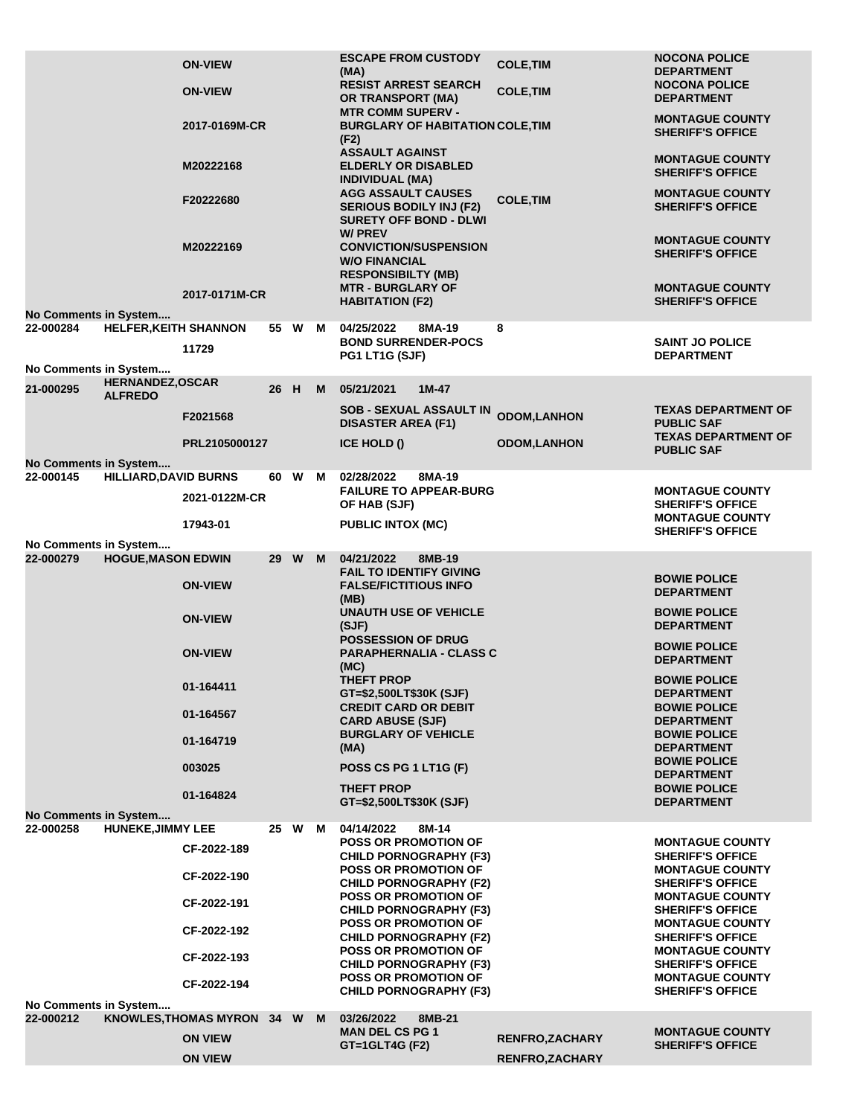|                                    |                                           | <b>ON-VIEW</b><br><b>ON-VIEW</b><br>2017-0169M-CR<br>M20222168<br>F20222680<br>M20222169<br>2017-0171M-CR |      |        |   | <b>ESCAPE FROM CUSTODY</b><br>(MA)<br><b>RESIST ARREST SEARCH</b><br><b>OR TRANSPORT (MA)</b><br><b>MTR COMM SUPERV -</b><br><b>BURGLARY OF HABITATION COLE, TIM</b><br>(F2)<br><b>ASSAULT AGAINST</b><br><b>ELDERLY OR DISABLED</b><br><b>INDIVIDUAL (MA)</b><br><b>AGG ASSAULT CAUSES</b><br><b>SERIOUS BODILY INJ (F2)</b><br><b>SURETY OFF BOND - DLWI</b><br><b>W/PREV</b><br><b>CONVICTION/SUSPENSION</b><br><b>W/O FINANCIAL</b><br><b>RESPONSIBILTY (MB)</b><br><b>MTR - BURGLARY OF</b><br><b>HABITATION (F2)</b> | <b>COLE, TIM</b><br><b>COLE, TIM</b><br><b>COLE, TIM</b> | <b>NOCONA POLICE</b><br><b>DEPARTMENT</b><br><b>NOCONA POLICE</b><br><b>DEPARTMENT</b><br><b>MONTAGUE COUNTY</b><br><b>SHERIFF'S OFFICE</b><br><b>MONTAGUE COUNTY</b><br><b>SHERIFF'S OFFICE</b><br><b>MONTAGUE COUNTY</b><br><b>SHERIFF'S OFFICE</b><br><b>MONTAGUE COUNTY</b><br><b>SHERIFF'S OFFICE</b><br><b>MONTAGUE COUNTY</b><br><b>SHERIFF'S OFFICE</b> |
|------------------------------------|-------------------------------------------|-----------------------------------------------------------------------------------------------------------|------|--------|---|----------------------------------------------------------------------------------------------------------------------------------------------------------------------------------------------------------------------------------------------------------------------------------------------------------------------------------------------------------------------------------------------------------------------------------------------------------------------------------------------------------------------------|----------------------------------------------------------|-----------------------------------------------------------------------------------------------------------------------------------------------------------------------------------------------------------------------------------------------------------------------------------------------------------------------------------------------------------------|
| No Comments in System              |                                           |                                                                                                           |      |        |   |                                                                                                                                                                                                                                                                                                                                                                                                                                                                                                                            |                                                          |                                                                                                                                                                                                                                                                                                                                                                 |
| 22-000284<br>No Comments in System | <b>HELFER, KEITH SHANNON</b>              | 11729                                                                                                     |      | 55 W M |   | 04/25/2022<br>8MA-19<br><b>BOND SURRENDER-POCS</b><br>PG1 LT1G (SJF)                                                                                                                                                                                                                                                                                                                                                                                                                                                       | 8                                                        | <b>SAINT JO POLICE</b><br><b>DEPARTMENT</b>                                                                                                                                                                                                                                                                                                                     |
| 21-000295                          | <b>HERNANDEZ, OSCAR</b><br><b>ALFREDO</b> |                                                                                                           | 26   | H      | M | 05/21/2021<br>$1M-47$                                                                                                                                                                                                                                                                                                                                                                                                                                                                                                      |                                                          |                                                                                                                                                                                                                                                                                                                                                                 |
|                                    |                                           | F2021568                                                                                                  |      |        |   | <b>SOB - SEXUAL ASSAULT IN</b><br><b>DISASTER AREA (F1)</b>                                                                                                                                                                                                                                                                                                                                                                                                                                                                | <b>ODOM,LANHON</b>                                       | <b>TEXAS DEPARTMENT OF</b><br><b>PUBLIC SAF</b>                                                                                                                                                                                                                                                                                                                 |
|                                    |                                           | PRL2105000127                                                                                             |      |        |   | ICE HOLD ()                                                                                                                                                                                                                                                                                                                                                                                                                                                                                                                | <b>ODOM, LANHON</b>                                      | <b>TEXAS DEPARTMENT OF</b><br><b>PUBLIC SAF</b>                                                                                                                                                                                                                                                                                                                 |
| No Comments in System              |                                           |                                                                                                           |      |        |   |                                                                                                                                                                                                                                                                                                                                                                                                                                                                                                                            |                                                          |                                                                                                                                                                                                                                                                                                                                                                 |
| 22-000145                          | <b>HILLIARD, DAVID BURNS</b>              | 2021-0122M-CR                                                                                             | 60.  | W M    |   | 02/28/2022<br>8MA-19<br><b>FAILURE TO APPEAR-BURG</b><br>OF HAB (SJF)                                                                                                                                                                                                                                                                                                                                                                                                                                                      |                                                          | <b>MONTAGUE COUNTY</b><br><b>SHERIFF'S OFFICE</b><br><b>MONTAGUE COUNTY</b>                                                                                                                                                                                                                                                                                     |
|                                    |                                           | 17943-01                                                                                                  |      |        |   | <b>PUBLIC INTOX (MC)</b>                                                                                                                                                                                                                                                                                                                                                                                                                                                                                                   |                                                          | <b>SHERIFF'S OFFICE</b>                                                                                                                                                                                                                                                                                                                                         |
| No Comments in System<br>22-000279 | <b>HOGUE, MASON EDWIN</b>                 | <b>ON-VIEW</b><br><b>ON-VIEW</b><br><b>ON-VIEW</b>                                                        | 29 W |        | M | 04/21/2022<br>8MB-19<br><b>FAIL TO IDENTIFY GIVING</b><br><b>FALSE/FICTITIOUS INFO</b><br>(MB)<br><b>UNAUTH USE OF VEHICLE</b><br>(SJF)<br><b>POSSESSION OF DRUG</b><br><b>PARAPHERNALIA - CLASS C</b><br>(MC)                                                                                                                                                                                                                                                                                                             |                                                          | <b>BOWIE POLICE</b><br><b>DEPARTMENT</b><br><b>BOWIE POLICE</b><br><b>DEPARTMENT</b><br><b>BOWIE POLICE</b><br><b>DEPARTMENT</b>                                                                                                                                                                                                                                |
|                                    |                                           | 01-164411<br>01-164567<br>01-164719<br>003025<br>01-164824                                                |      |        |   | <b>THEFT PROP</b><br>GT=\$2,500LT\$30K (SJF)<br><b>CREDIT CARD OR DEBIT</b><br><b>CARD ABUSE (SJF)</b><br><b>BURGLARY OF VEHICLE</b><br>(MA)<br>POSS CS PG 1 LT1G (F)<br><b>THEFT PROP</b><br>GT=\$2,500LT\$30K (SJF)                                                                                                                                                                                                                                                                                                      |                                                          | <b>BOWIE POLICE</b><br><b>DEPARTMENT</b><br><b>BOWIE POLICE</b><br><b>DEPARTMENT</b><br><b>BOWIE POLICE</b><br><b>DEPARTMENT</b><br><b>BOWIE POLICE</b><br><b>DEPARTMENT</b><br><b>BOWIE POLICE</b><br><b>DEPARTMENT</b>                                                                                                                                        |
| No Comments in System              |                                           |                                                                                                           |      |        |   |                                                                                                                                                                                                                                                                                                                                                                                                                                                                                                                            |                                                          |                                                                                                                                                                                                                                                                                                                                                                 |
| 22-000258                          | <b>HUNEKE, JIMMY LEE</b>                  | CF-2022-189<br>CF-2022-190<br>CF-2022-191<br>CF-2022-192<br>CF-2022-193                                   |      | 25 W M |   | 04/14/2022<br>8M-14<br><b>POSS OR PROMOTION OF</b><br><b>CHILD PORNOGRAPHY (F3)</b><br><b>POSS OR PROMOTION OF</b><br><b>CHILD PORNOGRAPHY (F2)</b><br><b>POSS OR PROMOTION OF</b><br><b>CHILD PORNOGRAPHY (F3)</b><br><b>POSS OR PROMOTION OF</b><br><b>CHILD PORNOGRAPHY (F2)</b><br><b>POSS OR PROMOTION OF</b>                                                                                                                                                                                                         |                                                          | <b>MONTAGUE COUNTY</b><br><b>SHERIFF'S OFFICE</b><br><b>MONTAGUE COUNTY</b><br><b>SHERIFF'S OFFICE</b><br><b>MONTAGUE COUNTY</b><br><b>SHERIFF'S OFFICE</b><br><b>MONTAGUE COUNTY</b><br><b>SHERIFF'S OFFICE</b><br><b>MONTAGUE COUNTY</b>                                                                                                                      |
|                                    |                                           |                                                                                                           |      |        |   | <b>CHILD PORNOGRAPHY (F3)</b><br><b>POSS OR PROMOTION OF</b>                                                                                                                                                                                                                                                                                                                                                                                                                                                               |                                                          | <b>SHERIFF'S OFFICE</b><br><b>MONTAGUE COUNTY</b>                                                                                                                                                                                                                                                                                                               |
|                                    |                                           | CF-2022-194                                                                                               |      |        |   | <b>CHILD PORNOGRAPHY (F3)</b>                                                                                                                                                                                                                                                                                                                                                                                                                                                                                              |                                                          | <b>SHERIFF'S OFFICE</b>                                                                                                                                                                                                                                                                                                                                         |
| No Comments in System<br>22-000212 |                                           | KNOWLES, THOMAS MYRON 34 W M<br><b>ON VIEW</b><br><b>ON VIEW</b>                                          |      |        |   | 03/26/2022<br>8MB-21<br><b>MAN DEL CS PG 1</b><br><b>GT=1GLT4G (F2)</b>                                                                                                                                                                                                                                                                                                                                                                                                                                                    | <b>RENFRO, ZACHARY</b><br><b>RENFRO, ZACHARY</b>         | <b>MONTAGUE COUNTY</b><br><b>SHERIFF'S OFFICE</b>                                                                                                                                                                                                                                                                                                               |
|                                    |                                           |                                                                                                           |      |        |   |                                                                                                                                                                                                                                                                                                                                                                                                                                                                                                                            |                                                          |                                                                                                                                                                                                                                                                                                                                                                 |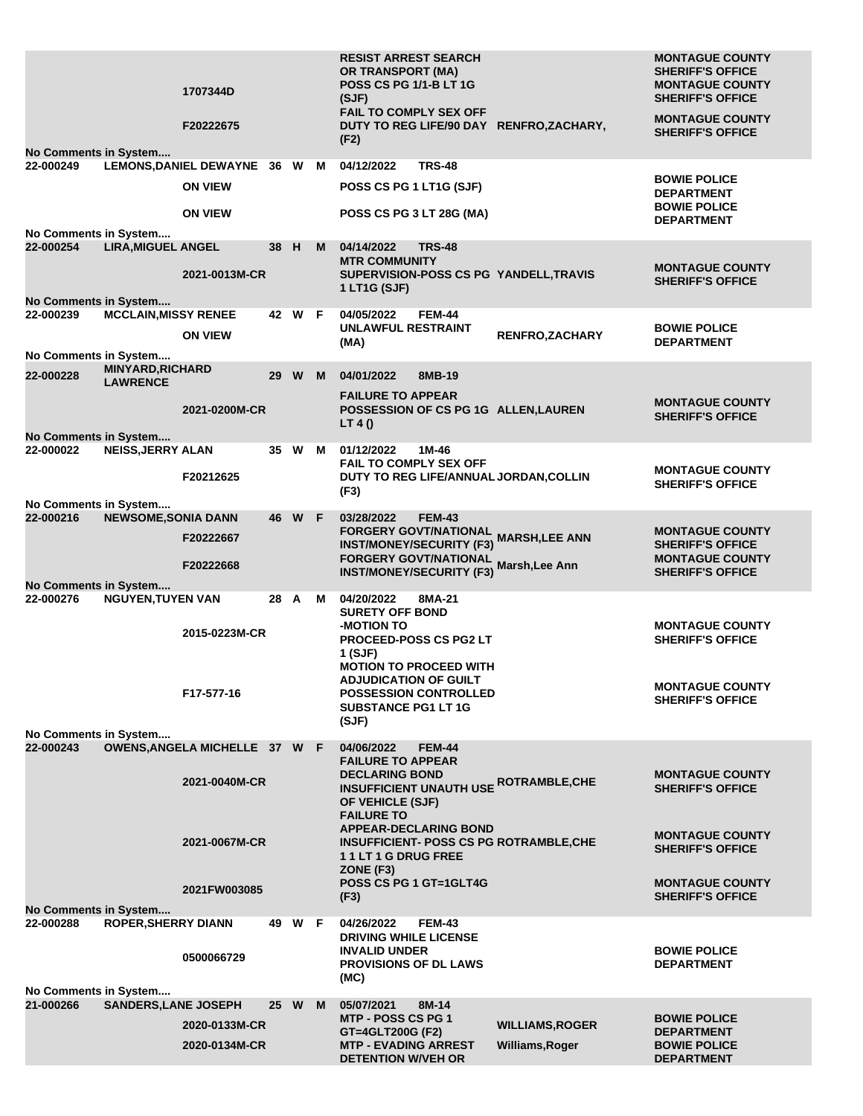|                                    |                             | 1707344D<br>F20222675         |      |        |    | <b>RESIST ARREST SEARCH</b><br><b>OR TRANSPORT (MA)</b><br><b>POSS CS PG 1/1-B LT 1G</b><br>(SJF)<br><b>FAIL TO COMPLY SEX OFF</b><br>DUTY TO REG LIFE/90 DAY RENFRO, ZACHARY, |                        | <b>MONTAGUE COUNTY</b><br><b>SHERIFF'S OFFICE</b><br><b>MONTAGUE COUNTY</b><br><b>SHERIFF'S OFFICE</b><br><b>MONTAGUE COUNTY</b> |
|------------------------------------|-----------------------------|-------------------------------|------|--------|----|--------------------------------------------------------------------------------------------------------------------------------------------------------------------------------|------------------------|----------------------------------------------------------------------------------------------------------------------------------|
| No Comments in System              |                             |                               |      |        |    | (F2)                                                                                                                                                                           |                        | <b>SHERIFF'S OFFICE</b>                                                                                                          |
| 22-000249                          |                             | LEMONS, DANIEL DEWAYNE 36 W M |      |        |    | 04/12/2022<br><b>TRS-48</b>                                                                                                                                                    |                        |                                                                                                                                  |
|                                    |                             | <b>ON VIEW</b>                |      |        |    | POSS CS PG 1 LT1G (SJF)                                                                                                                                                        |                        | <b>BOWIE POLICE</b><br><b>DEPARTMENT</b>                                                                                         |
|                                    |                             | <b>ON VIEW</b>                |      |        |    | <b>POSS CS PG 3 LT 28G (MA)</b>                                                                                                                                                |                        | <b>BOWIE POLICE</b><br><b>DEPARTMENT</b>                                                                                         |
| No Comments in System              |                             |                               |      |        |    |                                                                                                                                                                                |                        |                                                                                                                                  |
| 22-000254                          | <b>LIRA, MIGUEL ANGEL</b>   |                               | 38 H |        | M. | 04/14/2022<br><b>TRS-48</b><br><b>MTR COMMUNITY</b>                                                                                                                            |                        | <b>MONTAGUE COUNTY</b>                                                                                                           |
|                                    |                             | 2021-0013M-CR                 |      |        |    | SUPERVISION-POSS CS PG YANDELL, TRAVIS<br>1 LT1G (SJF)                                                                                                                         |                        | <b>SHERIFF'S OFFICE</b>                                                                                                          |
| No Comments in System              |                             |                               |      |        |    |                                                                                                                                                                                |                        |                                                                                                                                  |
| 22-000239                          | <b>MCCLAIN, MISSY RENEE</b> | <b>ON VIEW</b>                |      | 42 W F |    | 04/05/2022<br><b>FEM-44</b><br><b>UNLAWFUL RESTRAINT</b>                                                                                                                       | <b>RENFRO, ZACHARY</b> | <b>BOWIE POLICE</b>                                                                                                              |
| No Comments in System              |                             |                               |      |        |    | (MA)                                                                                                                                                                           |                        | <b>DEPARTMENT</b>                                                                                                                |
| 22-000228                          | <b>MINYARD, RICHARD</b>     |                               |      | 29 W M |    | 04/01/2022<br>8MB-19                                                                                                                                                           |                        |                                                                                                                                  |
|                                    | <b>LAWRENCE</b>             |                               |      |        |    | <b>FAILURE TO APPEAR</b>                                                                                                                                                       |                        |                                                                                                                                  |
|                                    |                             | 2021-0200M-CR                 |      |        |    | POSSESSION OF CS PG 1G ALLEN, LAUREN                                                                                                                                           |                        | <b>MONTAGUE COUNTY</b><br><b>SHERIFF'S OFFICE</b>                                                                                |
| No Comments in System              |                             |                               |      |        |    | LT 4()                                                                                                                                                                         |                        |                                                                                                                                  |
| 22-000022                          | <b>NEISS, JERRY ALAN</b>    |                               |      | 35 W   | м  | 01/12/2022<br>1M-46<br><b>FAIL TO COMPLY SEX OFF</b>                                                                                                                           |                        |                                                                                                                                  |
|                                    |                             | F20212625                     |      |        |    | DUTY TO REG LIFE/ANNUAL JORDAN, COLLIN                                                                                                                                         |                        | <b>MONTAGUE COUNTY</b><br><b>SHERIFF'S OFFICE</b>                                                                                |
| No Comments in System              |                             |                               |      |        |    | (F3)                                                                                                                                                                           |                        |                                                                                                                                  |
| 22-000216                          | <b>NEWSOME, SONIA DANN</b>  |                               |      | 46 W F |    | 03/28/2022<br><b>FEM-43</b>                                                                                                                                                    |                        |                                                                                                                                  |
|                                    |                             | F20222667                     |      |        |    | FORGERY GOVT/NATIONAL<br>FORGERY GOVT/NATIONAL MARSH,LEE ANN<br><b>INST/MONEY/SECURITY (F3)</b>                                                                                |                        | <b>MONTAGUE COUNTY</b><br><b>SHERIFF'S OFFICE</b>                                                                                |
|                                    |                             | F20222668                     |      |        |    | FORGERY GOVT/NATIONAL Marsh, Lee Ann<br><b>INST/MONEY/SECURITY (F3)</b>                                                                                                        |                        | <b>MONTAGUE COUNTY</b><br><b>SHERIFF'S OFFICE</b>                                                                                |
| No Comments in System              |                             |                               |      |        |    |                                                                                                                                                                                |                        |                                                                                                                                  |
| 22-000276                          | <b>NGUYEN, TUYEN VAN</b>    |                               | 28 A |        | M  | 04/20/2022<br>8MA-21<br><b>SURETY OFF BOND</b>                                                                                                                                 |                        |                                                                                                                                  |
|                                    |                             | 2015-0223M-CR                 |      |        |    | -MOTION TO<br><b>PROCEED-POSS CS PG2 LT</b>                                                                                                                                    |                        | <b>MONTAGUE COUNTY</b><br><b>SHERIFF'S OFFICE</b>                                                                                |
|                                    |                             |                               |      |        |    | 1 (SJF)                                                                                                                                                                        |                        |                                                                                                                                  |
|                                    |                             |                               |      |        |    | <b>MOTION TO PROCEED WITH</b><br><b>ADJUDICATION OF GUILT</b>                                                                                                                  |                        |                                                                                                                                  |
|                                    |                             | F17-577-16                    |      |        |    | <b>POSSESSION CONTROLLED</b>                                                                                                                                                   |                        | <b>MONTAGUE COUNTY</b><br><b>SHERIFF'S OFFICE</b>                                                                                |
|                                    |                             |                               |      |        |    | <b>SUBSTANCE PG1 LT 1G</b><br>(SJF)                                                                                                                                            |                        |                                                                                                                                  |
| No Comments in System<br>22-000243 |                             | OWENS, ANGELA MICHELLE 37 W F |      |        |    | 04/06/2022<br><b>FEM-44</b>                                                                                                                                                    |                        |                                                                                                                                  |
|                                    |                             |                               |      |        |    | <b>FAILURE TO APPEAR</b>                                                                                                                                                       |                        |                                                                                                                                  |
|                                    |                             | 2021-0040M-CR                 |      |        |    | <b>DECLARING BOND</b><br><b>INSUFFICIENT UNAUTH USE ROTRAMBLE, CHE</b>                                                                                                         |                        | <b>MONTAGUE COUNTY</b><br><b>SHERIFF'S OFFICE</b>                                                                                |
|                                    |                             |                               |      |        |    | OF VEHICLE (SJF)                                                                                                                                                               |                        |                                                                                                                                  |
|                                    |                             |                               |      |        |    | <b>FAILURE TO</b><br><b>APPEAR-DECLARING BOND</b>                                                                                                                              |                        | <b>MONTAGUE COUNTY</b>                                                                                                           |
|                                    |                             | 2021-0067M-CR                 |      |        |    | <b>INSUFFICIENT- POSS CS PG ROTRAMBLE, CHE</b><br>11LT1GDRUGFREE                                                                                                               |                        | <b>SHERIFF'S OFFICE</b>                                                                                                          |
|                                    |                             |                               |      |        |    | ZONE (F3)                                                                                                                                                                      |                        |                                                                                                                                  |
|                                    |                             | 2021FW003085                  |      |        |    | POSS CS PG 1 GT=1GLT4G<br>(F3)                                                                                                                                                 |                        | <b>MONTAGUE COUNTY</b><br><b>SHERIFF'S OFFICE</b>                                                                                |
| No Comments in System<br>22-000288 | <b>ROPER, SHERRY DIANN</b>  |                               |      | 49 W F |    | 04/26/2022<br><b>FEM-43</b>                                                                                                                                                    |                        |                                                                                                                                  |
|                                    |                             |                               |      |        |    | <b>DRIVING WHILE LICENSE</b>                                                                                                                                                   |                        |                                                                                                                                  |
|                                    |                             | 0500066729                    |      |        |    | <b>INVALID UNDER</b><br><b>PROVISIONS OF DL LAWS</b>                                                                                                                           |                        | <b>BOWIE POLICE</b><br><b>DEPARTMENT</b>                                                                                         |
|                                    |                             |                               |      |        |    | (MC)                                                                                                                                                                           |                        |                                                                                                                                  |
| No Comments in System<br>21-000266 | <b>SANDERS, LANE JOSEPH</b> |                               |      | 25 W M |    | 05/07/2021<br>8M-14                                                                                                                                                            |                        |                                                                                                                                  |
|                                    |                             | 2020-0133M-CR                 |      |        |    | MTP - POSS CS PG 1<br>GT=4GLT200G (F2)                                                                                                                                         | <b>WILLIAMS, ROGER</b> | <b>BOWIE POLICE</b><br><b>DEPARTMENT</b>                                                                                         |
|                                    |                             | 2020-0134M-CR                 |      |        |    | <b>MTP - EVADING ARREST</b>                                                                                                                                                    | Williams, Roger        | <b>BOWIE POLICE</b>                                                                                                              |
|                                    |                             |                               |      |        |    | <b>DETENTION W/VEH OR</b>                                                                                                                                                      |                        | <b>DEPARTMENT</b>                                                                                                                |